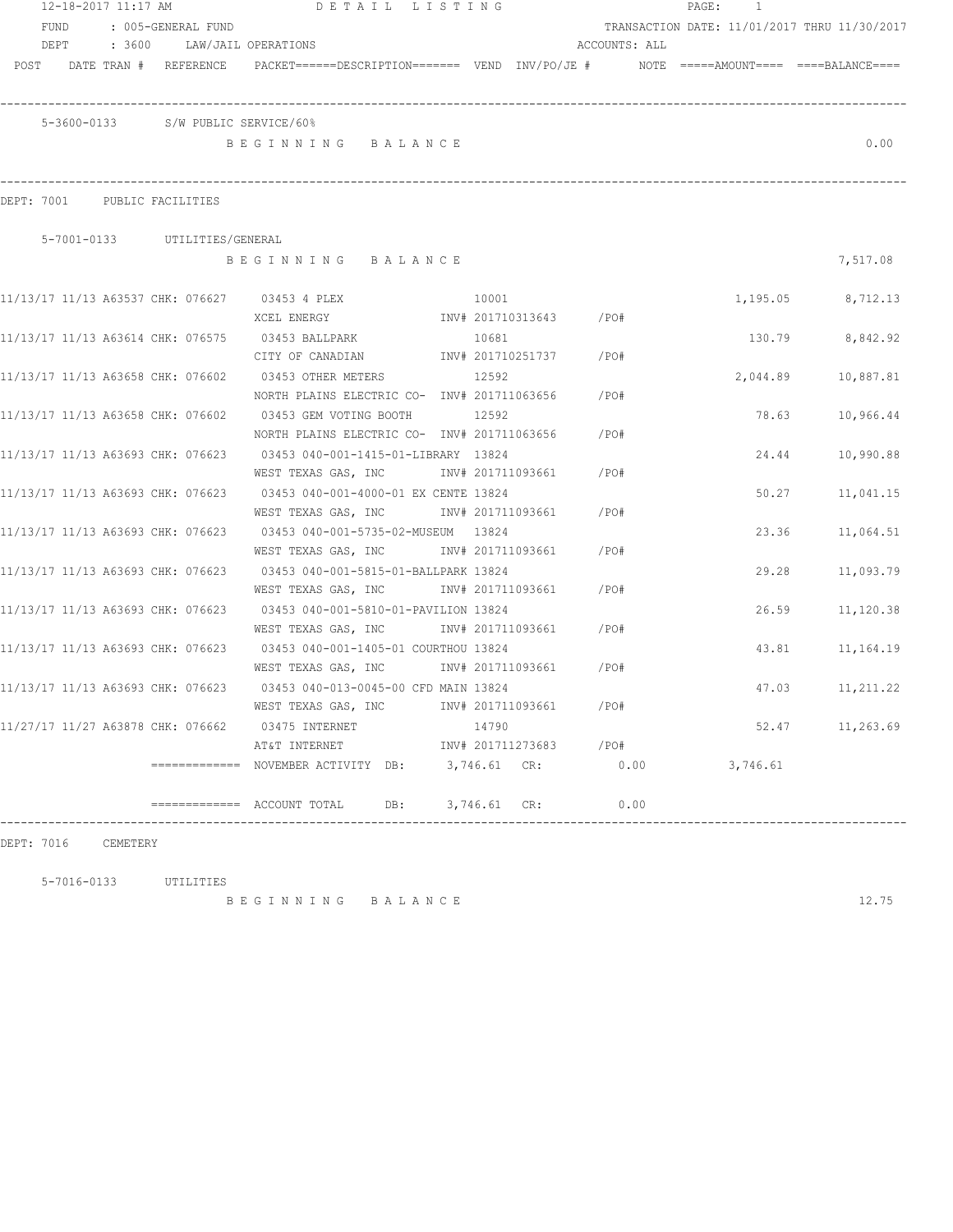|                                   |      | 12-18-2017 11:17 AM |                               | DETAIL LISTING                                                                                                                  |              |                        |               | PAGE: | $\overline{1}$ |                                              |
|-----------------------------------|------|---------------------|-------------------------------|---------------------------------------------------------------------------------------------------------------------------------|--------------|------------------------|---------------|-------|----------------|----------------------------------------------|
| FUND                              |      |                     | : 005-GENERAL FUND            |                                                                                                                                 |              |                        |               |       |                | TRANSACTION DATE: 11/01/2017 THRU 11/30/2017 |
|                                   | DEPT |                     |                               | : 3600 LAW/JAIL OPERATIONS                                                                                                      |              |                        | ACCOUNTS: ALL |       |                |                                              |
| POST                              |      |                     | DATE TRAN # REFERENCE         | PACKET======DESCRIPTION======= VEND INV/PO/JE #    NOTE =====AMOUNT==== ====BALANCE====                                         |              |                        |               |       |                |                                              |
|                                   |      |                     |                               | 5-3600-0133 S/W PUBLIC SERVICE/60%                                                                                              |              |                        |               |       |                |                                              |
|                                   |      |                     |                               | BEGINNING BALANCE                                                                                                               |              |                        |               |       |                | 0.00                                         |
| DEPT: 7001 PUBLIC FACILITIES      |      |                     |                               |                                                                                                                                 |              |                        |               |       |                |                                              |
|                                   |      |                     | 5-7001-0133 UTILITIES/GENERAL |                                                                                                                                 |              |                        |               |       |                |                                              |
|                                   |      |                     |                               | BEGINNING BALANCE                                                                                                               |              |                        |               |       |                | 7,517.08                                     |
|                                   |      |                     |                               | 11/13/17 11/13 A63537 CHK: 076627 03453 4 PLEX                                                                                  | 10001        |                        |               |       |                | 1,195.05 8,712.13                            |
|                                   |      |                     |                               | XCEL ENERGY                                                                                                                     |              | INV# 201710313643 /PO# |               |       |                |                                              |
|                                   |      |                     |                               | 11/13/17 11/13 A63614 CHK: 076575 03453 BALLPARK                                                                                | 10681        |                        |               |       | 130.79         | 8,842.92                                     |
|                                   |      |                     |                               | CITY OF CANADIAN                                                                                                                |              | INV# 201710251737      | $/$ PO#       |       |                |                                              |
|                                   |      |                     |                               | 11/13/17 11/13 A63658 CHK: 076602 03453 OTHER METERS<br>NORTH PLAINS ELECTRIC CO- INV# 201711063656                             | 12592        |                        | /PO#          |       | 2,044.89       | 10,887.81                                    |
|                                   |      |                     |                               | 11/13/17 11/13 A63658 CHK: 076602 03453 GEM VOTING BOOTH                                                                        | 12592        |                        |               |       | 78.63          | 10,966.44                                    |
|                                   |      |                     |                               | NORTH PLAINS ELECTRIC CO- INV# 201711063656                                                                                     |              |                        | /PO#          |       |                |                                              |
|                                   |      |                     |                               | 11/13/17 11/13 A63693 CHK: 076623 03453 040-001-1415-01-LIBRARY 13824                                                           |              |                        |               |       | 24.44          | 10,990.88                                    |
|                                   |      |                     |                               | WEST TEXAS GAS, INC                                                                                                             |              | INV# 201711093661      | /PO#          |       |                |                                              |
| 11/13/17 11/13 A63693 CHK: 076623 |      |                     |                               | 03453 040-001-4000-01 EX CENTE 13824                                                                                            |              |                        |               |       | 50.27          | 11,041.15                                    |
|                                   |      |                     |                               | WEST TEXAS GAS, INC MONTH 201711093661                                                                                          |              |                        | /PO#          |       |                |                                              |
| 11/13/17 11/13 A63693 CHK: 076623 |      |                     |                               |                                                                                                                                 |              |                        |               |       | 23.36          | 11,064.51                                    |
|                                   |      |                     |                               | WEST TEXAS GAS, INC MONTH 201711093661                                                                                          |              |                        | /PO#          |       |                |                                              |
| 11/13/17 11/13 A63693 CHK: 076623 |      |                     |                               | 03453 040-001-5815-01-BALLPARK 13824                                                                                            |              |                        |               |       | 29.28          | 11,093.79                                    |
|                                   |      |                     |                               | WEST TEXAS GAS, INC MONTH 201711093661                                                                                          |              |                        | /PO#          |       |                |                                              |
|                                   |      |                     |                               | 11/13/17 11/13 A63693 CHK: 076623 03453 040-001-5810-01-PAVILION 13824                                                          |              |                        |               |       | 26.59          | 11,120.38                                    |
|                                   |      |                     |                               | WEST TEXAS GAS, INC METALL 1NV# 201711093661                                                                                    |              |                        | $/$ PO#       |       |                |                                              |
|                                   |      |                     |                               | 11/13/17 11/13 A63693 CHK: 076623 03453 040-001-1405-01 COURTHOU 13824                                                          |              |                        |               |       | 43.81          | 11,164.19                                    |
|                                   |      |                     |                               | WEST TEXAS GAS, INC METALL 1NV# 201711093661                                                                                    |              |                        | $/$ PO#       |       |                |                                              |
|                                   |      |                     |                               |                                                                                                                                 |              |                        |               |       | 47.03          | 11,211.22                                    |
|                                   |      |                     |                               | WEST TEXAS GAS, INC                                                                                                             |              | INV# 201711093661 /PO# |               |       |                |                                              |
|                                   |      |                     |                               | 11/27/17 11/27 A63878 CHK: 076662 03475 INTERNET                                                                                | 14790        |                        |               |       |                | 52.47 11,263.69                              |
|                                   |      |                     |                               | AT&T INTERNET 1NV# 201711273683 /PO#                                                                                            |              |                        |               |       |                |                                              |
|                                   |      |                     |                               | =============   NOVEMBER ACTIVITY   DB:         3,746.61    CR:                                                                 |              |                        | 0.00          |       | 3,746.61       |                                              |
|                                   |      |                     |                               | $\begin{tabular}{lllll} \bf \texttt{-----} \bf \texttt{-----} & \bf \texttt{ACCOUNT} & \bf \texttt{TOTAL} \end{tabular}$<br>DB: | 3,746.61 CR: |                        | 0.00          |       |                |                                              |

DEPT: 7016 CEMETERY

5-7016-0133 UTILITIES

B E G I N N I N G B A L A N C E 12.75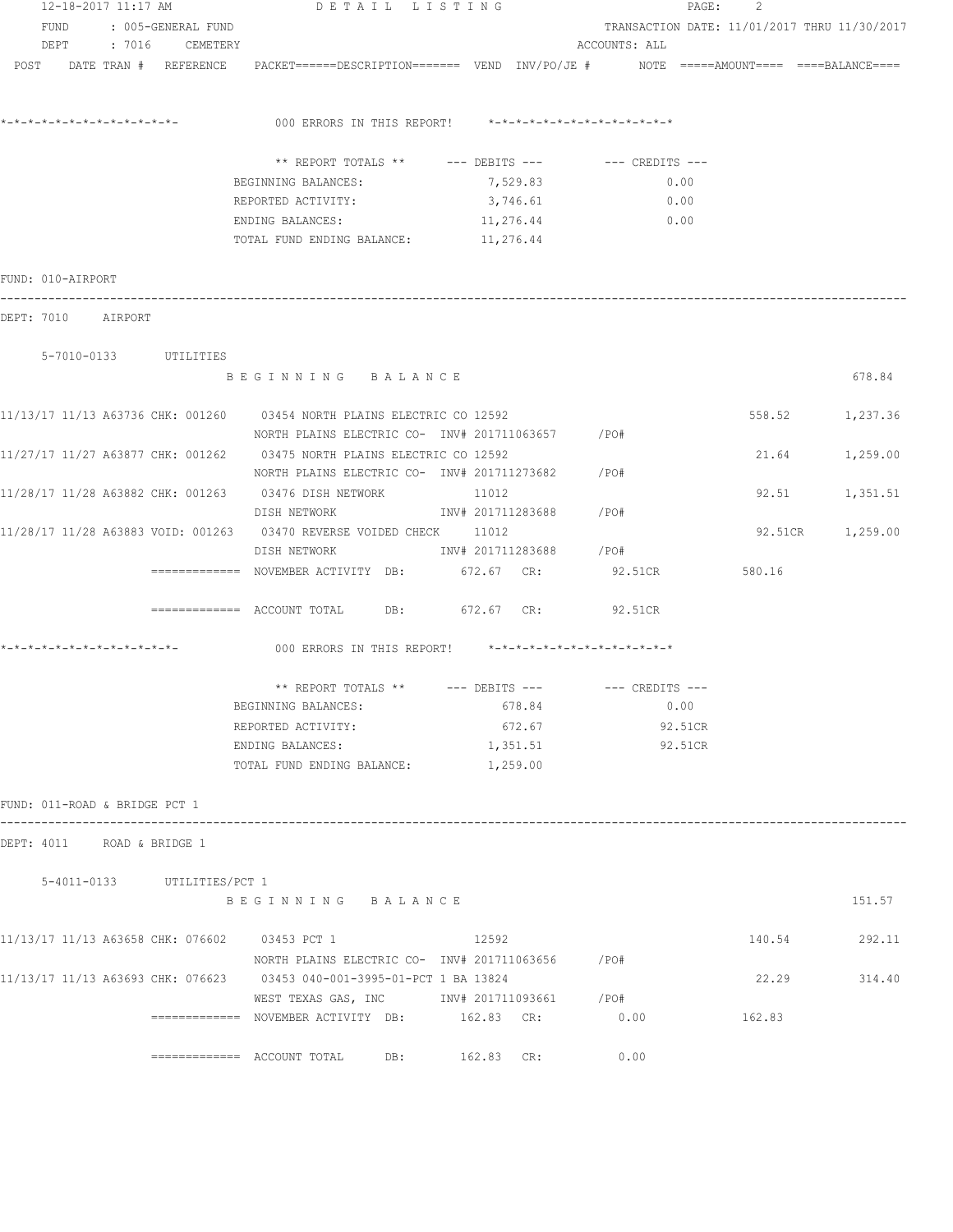| 12-18-2017 11:17 AM                           | DETAIL LISTING                                                                                                  |                        |                                              | PAGE: 2 |                  |
|-----------------------------------------------|-----------------------------------------------------------------------------------------------------------------|------------------------|----------------------------------------------|---------|------------------|
| FUND : 005-GENERAL FUND                       |                                                                                                                 |                        | TRANSACTION DATE: 11/01/2017 THRU 11/30/2017 |         |                  |
| DEPT : 7016 CEMETERY                          |                                                                                                                 |                        | ACCOUNTS: ALL                                |         |                  |
|                                               | POST DATE TRAN # REFERENCE PACKET======DESCRIPTION======= VEND INV/PO/JE # NOTE =====AMOUNT==== ====BALANCE==== |                        |                                              |         |                  |
|                                               |                                                                                                                 |                        |                                              |         |                  |
|                                               |                                                                                                                 |                        |                                              |         |                  |
|                                               |                                                                                                                 |                        |                                              |         |                  |
|                                               | ** REPORT TOTALS ** --- DEBITS --- -- CREDITS ---                                                               |                        |                                              |         |                  |
|                                               | BEGINNING BALANCES:                                                                                             | 7,529.83               | 0.00                                         |         |                  |
|                                               | REPORTED ACTIVITY:                                                                                              | 3,746.61               | 0.00                                         |         |                  |
|                                               | ENDING BALANCES: 11,276.44<br>TOTAL FUND ENDING BALANCE: 11,276.44                                              |                        | 0.00                                         |         |                  |
|                                               |                                                                                                                 |                        |                                              |         |                  |
| FUND: 010-AIRPORT                             |                                                                                                                 |                        |                                              |         |                  |
| DEPT: 7010 AIRPORT                            |                                                                                                                 |                        |                                              |         |                  |
| 5-7010-0133 UTILITIES                         |                                                                                                                 |                        |                                              |         |                  |
|                                               | BEGINNING BALANCE                                                                                               |                        |                                              |         | 678.84           |
|                                               |                                                                                                                 |                        |                                              |         |                  |
|                                               | 11/13/17 11/13 A63736 CHK: 001260 03454 NORTH PLAINS ELECTRIC CO 12592                                          |                        |                                              |         | 558.52 1,237.36  |
|                                               | NORTH PLAINS ELECTRIC CO- INV# 201711063657 / PO#                                                               |                        |                                              |         |                  |
|                                               | 11/27/17 11/27 A63877 CHK: 001262 03475 NORTH PLAINS ELECTRIC CO 12592                                          |                        |                                              |         | 21.64 1,259.00   |
|                                               | NORTH PLAINS ELECTRIC CO- INV# 201711273682 / PO#                                                               |                        |                                              |         |                  |
|                                               | 11/28/17 11/28 A63882 CHK: 001263 03476 DISH NETWORK 11012                                                      |                        |                                              |         | 92.51 1,351.51   |
|                                               | DISH NETWORK                             INV# 201711283688           /PO#                                       |                        |                                              |         |                  |
|                                               | 11/28/17 11/28 A63883 VOID: 001263 03470 REVERSE VOIDED CHECK 11012                                             |                        |                                              |         | 92.51CR 1,259.00 |
|                                               | DISH NETWORK                                                                                                    | INV# 201711283688 /PO# |                                              |         |                  |
|                                               | ============= NOVEMBER ACTIVITY DB: 672.67 CR:                                                                  |                        | 92.51CR                                      | 580.16  |                  |
|                                               | ============ ACCOUNT TOTAL DB: 672.67 CR: 92.51CR                                                               |                        |                                              |         |                  |
|                                               | 000 ERRORS IN THIS REPORT! *-*-*-*-*-*-*-*-*-*-*-*-*-*-                                                         |                        |                                              |         |                  |
|                                               |                                                                                                                 |                        |                                              |         |                  |
|                                               | ** REPORT TOTALS ** --- DEBITS --- -- CREDITS ---                                                               |                        |                                              |         |                  |
|                                               | BEGINNING BALANCES:                                                                                             | 678.84                 | 0.00                                         |         |                  |
|                                               | REPORTED ACTIVITY:<br>ENDING BALANCES:                                                                          | 672.67                 | 92.51CR<br>92.51CR                           |         |                  |
|                                               | TOTAL FUND ENDING BALANCE:                                                                                      | 1,351.51<br>1,259.00   |                                              |         |                  |
|                                               |                                                                                                                 |                        |                                              |         |                  |
| FUND: 011-ROAD & BRIDGE PCT 1                 |                                                                                                                 |                        |                                              |         |                  |
| DEPT: 4011 ROAD & BRIDGE 1                    |                                                                                                                 |                        |                                              |         |                  |
|                                               |                                                                                                                 |                        |                                              |         |                  |
| 5-4011-0133 UTILITIES/PCT 1                   | BEGINNING BALANCE                                                                                               |                        |                                              |         | 151.57           |
|                                               |                                                                                                                 |                        |                                              |         |                  |
| 11/13/17 11/13 A63658 CHK: 076602 03453 PCT 1 |                                                                                                                 | 12592                  |                                              | 140.54  | 292.11           |
|                                               | NORTH PLAINS ELECTRIC CO- INV# 201711063656 / PO#                                                               |                        |                                              |         |                  |
|                                               | 11/13/17 11/13 A63693 CHK: 076623 03453 040-001-3995-01-PCT 1 BA 13824                                          |                        |                                              | 22.29   | 314.40           |
|                                               | WEST TEXAS GAS, INC METALL 201711093661 / PO#                                                                   |                        |                                              |         |                  |
|                                               | ============= NOVEMBER ACTIVITY DB: 162.83 CR:                                                                  |                        | 0.00                                         | 162.83  |                  |
|                                               |                                                                                                                 | 162.83 CR:             | 0.00                                         |         |                  |
|                                               |                                                                                                                 |                        |                                              |         |                  |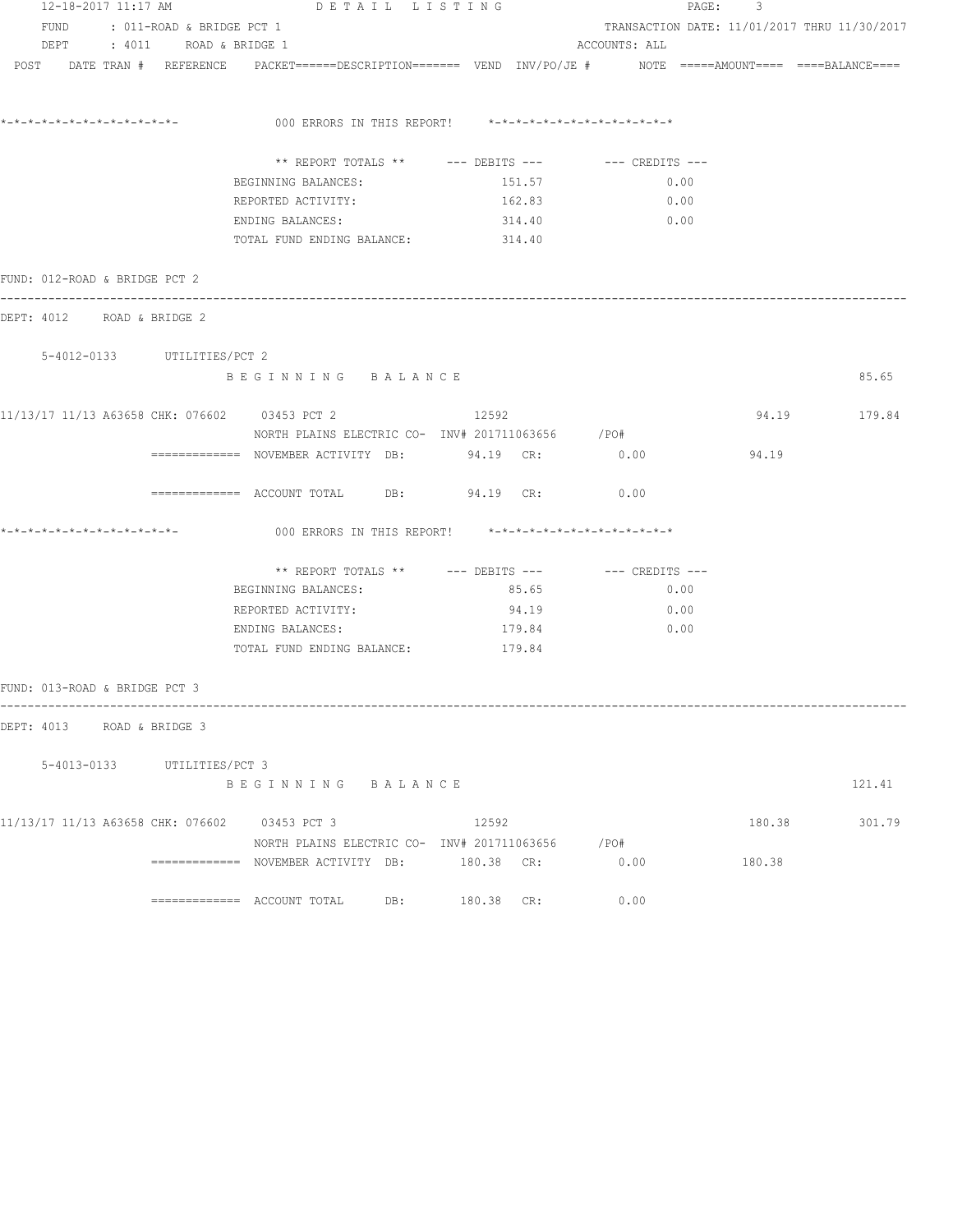| 12-18-2017 11:17 AM<br>DETAIL LISTING |  |                             |                                                                                                                                                                    |  |        |                                                      | PAGE: 3 |              |  |  |
|---------------------------------------|--|-----------------------------|--------------------------------------------------------------------------------------------------------------------------------------------------------------------|--|--------|------------------------------------------------------|---------|--------------|--|--|
| FUND : 011-ROAD & BRIDGE PCT 1        |  |                             |                                                                                                                                                                    |  |        | TRANSACTION DATE: 11/01/2017 THRU 11/30/2017         |         |              |  |  |
|                                       |  | DEPT : 4011 ROAD & BRIDGE 1 |                                                                                                                                                                    |  |        | ACCOUNTS: ALL                                        |         |              |  |  |
|                                       |  |                             | $POST$ $DATA$ $\#$ $REFERENCE$ $PACKET$ $=$ $=$ $=$ $DESCRIPTION$ $=$ $=$ $=$ $VEND$ $INV/PO/JE$ $\#$ $NOTE$ $=$ $=$ $=$ $=$ $=$ $=$ $=$ $=$ $=$ $BALANCE$ $=$ $=$ |  |        |                                                      |         |              |  |  |
|                                       |  |                             | 000 ERRORS IN THIS REPORT! *-*-*-*-*-*-*-*-*-*-*-*-*-*-                                                                                                            |  |        |                                                      |         |              |  |  |
|                                       |  |                             |                                                                                                                                                                    |  |        |                                                      |         |              |  |  |
|                                       |  |                             |                                                                                                                                                                    |  |        | ** REPORT TOTALS ** --- DEBITS --- -- -- CREDITS --- |         |              |  |  |
|                                       |  |                             | BEGINNING BALANCES:                                                                                                                                                |  | 151.57 | 0.00                                                 |         |              |  |  |
|                                       |  |                             | REPORTED ACTIVITY:                                                                                                                                                 |  | 162.83 | 0.00                                                 |         |              |  |  |
|                                       |  |                             | ENDING BALANCES:                                                                                                                                                   |  | 314.40 | 0.00                                                 |         |              |  |  |
|                                       |  |                             | TOTAL FUND ENDING BALANCE: 314.40                                                                                                                                  |  |        |                                                      |         |              |  |  |
| FUND: 012-ROAD & BRIDGE PCT 2         |  |                             |                                                                                                                                                                    |  |        |                                                      |         |              |  |  |
| DEPT: 4012 ROAD & BRIDGE 2            |  |                             |                                                                                                                                                                    |  |        |                                                      |         |              |  |  |
| 5-4012-0133 UTILITIES/PCT 2           |  |                             |                                                                                                                                                                    |  |        |                                                      |         |              |  |  |
|                                       |  |                             | BEGINNING BALANCE                                                                                                                                                  |  |        |                                                      |         | 85.65        |  |  |
|                                       |  |                             | 11/13/17 11/13 A63658 CHK: 076602 03453 PCT 2                                                                                                                      |  | 12592  |                                                      |         | 94.19 179.84 |  |  |
|                                       |  |                             | NORTH PLAINS ELECTRIC CO- INV# 201711063656 /PO#                                                                                                                   |  |        |                                                      |         |              |  |  |
|                                       |  |                             | ============ NOVEMBER ACTIVITY DB: 94.19 CR: 0.00                                                                                                                  |  |        |                                                      | 94.19   |              |  |  |
|                                       |  |                             | ============ ACCOUNT TOTAL DB: 94.19 CR: 0.00                                                                                                                      |  |        |                                                      |         |              |  |  |
|                                       |  |                             | 000 ERRORS IN THIS REPORT! *-*-*-*-*-*-*-*-*-*-*-*-*-*-                                                                                                            |  |        |                                                      |         |              |  |  |
|                                       |  |                             |                                                                                                                                                                    |  |        | ** REPORT TOTALS ** --- DEBITS --- -- -- CREDITS --- |         |              |  |  |
|                                       |  |                             | BEGINNING BALANCES:                                                                                                                                                |  | 85.65  | 0.00                                                 |         |              |  |  |
|                                       |  |                             | REPORTED ACTIVITY:                                                                                                                                                 |  | 94.19  | 0.00                                                 |         |              |  |  |
|                                       |  |                             | ENDING BALANCES:                                                                                                                                                   |  | 179.84 | 0.00                                                 |         |              |  |  |
|                                       |  |                             | TOTAL FUND ENDING BALANCE: 179.84                                                                                                                                  |  |        |                                                      |         |              |  |  |
| FUND: 013-ROAD & BRIDGE PCT 3         |  |                             |                                                                                                                                                                    |  |        |                                                      |         |              |  |  |
| DEPT: 4013 ROAD & BRIDGE 3            |  |                             |                                                                                                                                                                    |  |        |                                                      |         |              |  |  |
|                                       |  | 5-4013-0133 UTILITIES/PCT 3 |                                                                                                                                                                    |  |        |                                                      |         |              |  |  |
|                                       |  |                             | BEGINNING BALANCE                                                                                                                                                  |  |        |                                                      |         | 121.41       |  |  |
|                                       |  |                             | 11/13/17 11/13 A63658 CHK: 076602 03453 PCT 3                                                                                                                      |  | 12592  |                                                      | 180.38  | 301.79       |  |  |
|                                       |  |                             | NORTH PLAINS ELECTRIC CO- INV# 201711063656 / PO#                                                                                                                  |  |        |                                                      |         |              |  |  |
|                                       |  |                             | ============= NOVEMBER ACTIVITY DB: 180.38 CR:                                                                                                                     |  |        | 0.00                                                 | 180.38  |              |  |  |
|                                       |  |                             | $\texttt{-----}$ =========== ACCOUNT TOTAL DB: $180.38$ CR:                                                                                                        |  |        | 0.00                                                 |         |              |  |  |